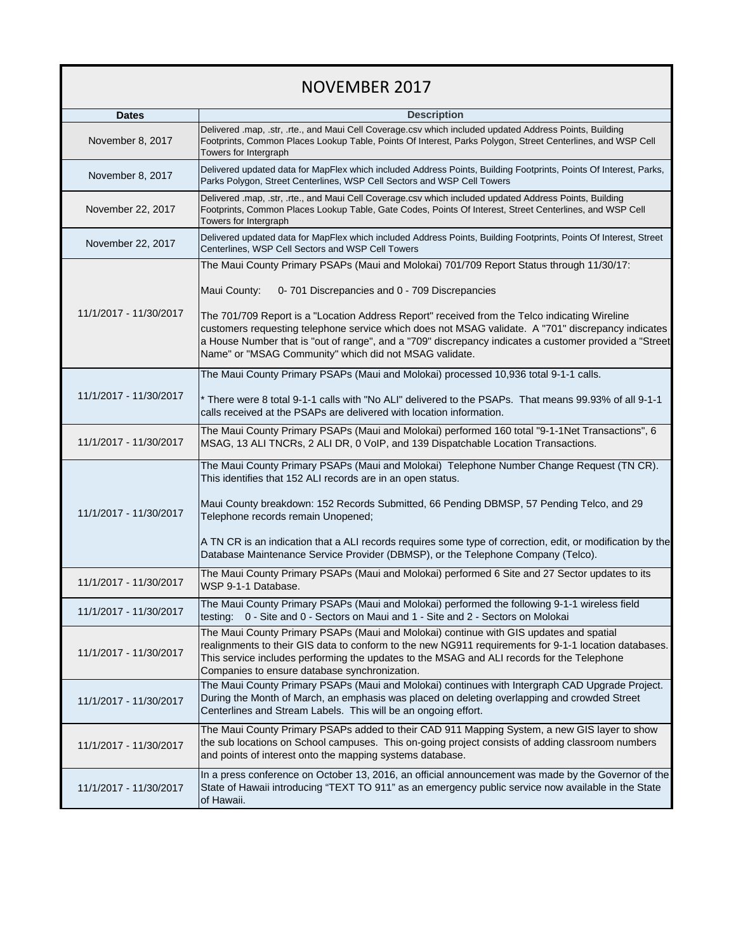## NOVEMBER 2017

| <b>Dates</b>           | <b>Description</b>                                                                                                                                                                                                                                                                                                                                                      |
|------------------------|-------------------------------------------------------------------------------------------------------------------------------------------------------------------------------------------------------------------------------------------------------------------------------------------------------------------------------------------------------------------------|
|                        | Delivered .map, .str, .rte., and Maui Cell Coverage.csv which included updated Address Points, Building                                                                                                                                                                                                                                                                 |
| November 8, 2017       | Footprints, Common Places Lookup Table, Points Of Interest, Parks Polygon, Street Centerlines, and WSP Cell<br>Towers for Intergraph                                                                                                                                                                                                                                    |
| November 8, 2017       | Delivered updated data for MapFlex which included Address Points, Building Footprints, Points Of Interest, Parks,<br>Parks Polygon, Street Centerlines, WSP Cell Sectors and WSP Cell Towers                                                                                                                                                                            |
| November 22, 2017      | Delivered .map, .str, .rte., and Maui Cell Coverage.csv which included updated Address Points, Building<br>Footprints, Common Places Lookup Table, Gate Codes, Points Of Interest, Street Centerlines, and WSP Cell<br>Towers for Intergraph                                                                                                                            |
| November 22, 2017      | Delivered updated data for MapFlex which included Address Points, Building Footprints, Points Of Interest, Street<br>Centerlines, WSP Cell Sectors and WSP Cell Towers                                                                                                                                                                                                  |
| 11/1/2017 - 11/30/2017 | The Maui County Primary PSAPs (Maui and Molokai) 701/709 Report Status through 11/30/17:                                                                                                                                                                                                                                                                                |
|                        | Maui County:<br>0-701 Discrepancies and 0 - 709 Discrepancies                                                                                                                                                                                                                                                                                                           |
|                        | The 701/709 Report is a "Location Address Report" received from the Telco indicating Wireline<br>customers requesting telephone service which does not MSAG validate. A "701" discrepancy indicates<br>a House Number that is "out of range", and a "709" discrepancy indicates a customer provided a "Street<br>Name" or "MSAG Community" which did not MSAG validate. |
|                        | The Maui County Primary PSAPs (Maui and Molokai) processed 10,936 total 9-1-1 calls.                                                                                                                                                                                                                                                                                    |
| 11/1/2017 - 11/30/2017 | * There were 8 total 9-1-1 calls with "No ALI" delivered to the PSAPs. That means 99.93% of all 9-1-1<br>calls received at the PSAPs are delivered with location information.                                                                                                                                                                                           |
| 11/1/2017 - 11/30/2017 | The Maui County Primary PSAPs (Maui and Molokai) performed 160 total "9-1-1Net Transactions", 6<br>MSAG, 13 ALI TNCRs, 2 ALI DR, 0 VoIP, and 139 Dispatchable Location Transactions.                                                                                                                                                                                    |
| 11/1/2017 - 11/30/2017 | The Maui County Primary PSAPs (Maui and Molokai) Telephone Number Change Request (TN CR).<br>This identifies that 152 ALI records are in an open status.                                                                                                                                                                                                                |
|                        | Maui County breakdown: 152 Records Submitted, 66 Pending DBMSP, 57 Pending Telco, and 29<br>Telephone records remain Unopened;                                                                                                                                                                                                                                          |
|                        | A TN CR is an indication that a ALI records requires some type of correction, edit, or modification by the<br>Database Maintenance Service Provider (DBMSP), or the Telephone Company (Telco).                                                                                                                                                                          |
| 11/1/2017 - 11/30/2017 | The Maui County Primary PSAPs (Maui and Molokai) performed 6 Site and 27 Sector updates to its<br>WSP 9-1-1 Database.                                                                                                                                                                                                                                                   |
| 11/1/2017 - 11/30/2017 | The Maui County Primary PSAPs (Maui and Molokai) performed the following 9-1-1 wireless field<br>testing: 0 - Site and 0 - Sectors on Maui and 1 - Site and 2 - Sectors on Molokai                                                                                                                                                                                      |
| 11/1/2017 - 11/30/2017 | The Maui County Primary PSAPs (Maui and Molokai) continue with GIS updates and spatial<br>realignments to their GIS data to conform to the new NG911 requirements for 9-1-1 location databases.<br>This service includes performing the updates to the MSAG and ALI records for the Telephone<br>Companies to ensure database synchronization.                          |
| 11/1/2017 - 11/30/2017 | The Maui County Primary PSAPs (Maui and Molokai) continues with Intergraph CAD Upgrade Project.<br>During the Month of March, an emphasis was placed on deleting overlapping and crowded Street<br>Centerlines and Stream Labels. This will be an ongoing effort.                                                                                                       |
| 11/1/2017 - 11/30/2017 | The Maui County Primary PSAPs added to their CAD 911 Mapping System, a new GIS layer to show<br>the sub locations on School campuses. This on-going project consists of adding classroom numbers<br>and points of interest onto the mapping systems database.                                                                                                           |
| 11/1/2017 - 11/30/2017 | In a press conference on October 13, 2016, an official announcement was made by the Governor of the<br>State of Hawaii introducing "TEXT TO 911" as an emergency public service now available in the State<br>of Hawaii.                                                                                                                                                |